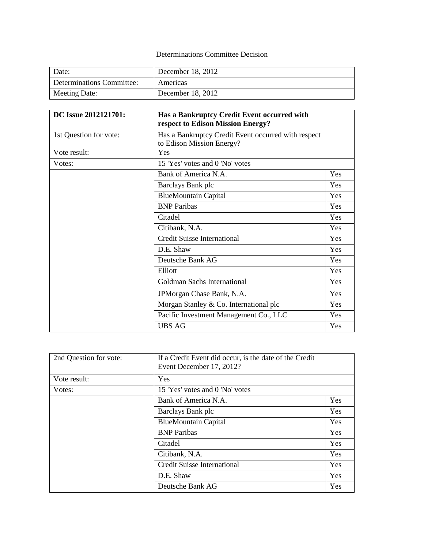## Determinations Committee Decision

| Date:                     | December 18, 2012 |
|---------------------------|-------------------|
| Determinations Committee: | Americas          |
| Meeting Date:             | December 18, 2012 |

| DC Issue 2012121701:   | Has a Bankruptcy Credit Event occurred with<br>respect to Edison Mission Energy? |     |
|------------------------|----------------------------------------------------------------------------------|-----|
| 1st Question for vote: | Has a Bankruptcy Credit Event occurred with respect<br>to Edison Mission Energy? |     |
| Vote result:           | Yes                                                                              |     |
| Votes:                 | 15 'Yes' votes and 0 'No' votes                                                  |     |
|                        | Bank of America N.A.                                                             | Yes |
|                        | Barclays Bank plc                                                                | Yes |
|                        | <b>BlueMountain Capital</b>                                                      | Yes |
|                        | <b>BNP</b> Paribas                                                               | Yes |
|                        | Citadel                                                                          | Yes |
|                        | Citibank, N.A.                                                                   | Yes |
|                        | <b>Credit Suisse International</b>                                               | Yes |
|                        | D.E. Shaw                                                                        | Yes |
|                        | Deutsche Bank AG                                                                 | Yes |
|                        | Elliott                                                                          | Yes |
|                        | Goldman Sachs International                                                      | Yes |
|                        | JPMorgan Chase Bank, N.A.                                                        | Yes |
|                        | Morgan Stanley & Co. International plc                                           | Yes |
|                        | Pacific Investment Management Co., LLC                                           | Yes |
|                        | <b>UBS AG</b>                                                                    | Yes |

| 2nd Question for vote: | If a Credit Event did occur, is the date of the Credit<br>Event December 17, 2012? |     |
|------------------------|------------------------------------------------------------------------------------|-----|
| Vote result:           | Yes                                                                                |     |
| Votes:                 | 15 'Yes' votes and 0 'No' votes                                                    |     |
|                        | Bank of America N.A.                                                               | Yes |
|                        | Barclays Bank plc                                                                  | Yes |
|                        | <b>BlueMountain Capital</b>                                                        | Yes |
|                        | <b>BNP</b> Paribas                                                                 | Yes |
|                        | Citadel                                                                            | Yes |
|                        | Citibank, N.A.                                                                     | Yes |
|                        | <b>Credit Suisse International</b>                                                 | Yes |
|                        | D.E. Shaw                                                                          | Yes |
|                        | Deutsche Bank AG                                                                   | Yes |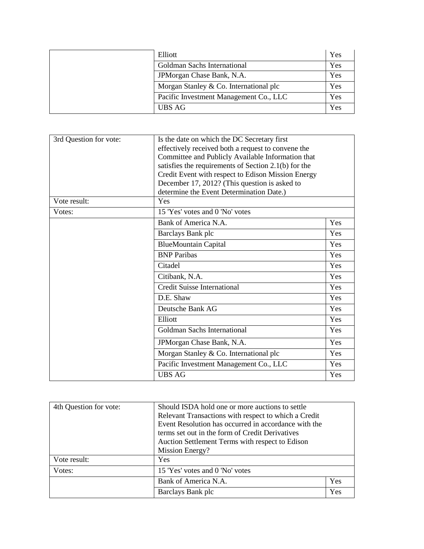| Elliott                                | Yes |
|----------------------------------------|-----|
| Goldman Sachs International            | Yes |
| JPM organ Chase Bank, N.A.             | Yes |
| Morgan Stanley & Co. International plc | Yes |
| Pacific Investment Management Co., LLC | Yes |
| <b>UBS AG</b>                          | Yes |

| 3rd Question for vote: | Is the date on which the DC Secretary first<br>effectively received both a request to convene the<br>Committee and Publicly Available Information that<br>satisfies the requirements of Section 2.1(b) for the |     |
|------------------------|----------------------------------------------------------------------------------------------------------------------------------------------------------------------------------------------------------------|-----|
|                        | Credit Event with respect to Edison Mission Energy                                                                                                                                                             |     |
|                        | December 17, 2012? (This question is asked to<br>determine the Event Determination Date.)                                                                                                                      |     |
| Vote result:           | Yes                                                                                                                                                                                                            |     |
| Votes:                 | 15 'Yes' votes and 0 'No' votes                                                                                                                                                                                |     |
|                        | Bank of America N.A.                                                                                                                                                                                           | Yes |
|                        | Barclays Bank plc                                                                                                                                                                                              | Yes |
|                        | <b>BlueMountain Capital</b>                                                                                                                                                                                    | Yes |
|                        | <b>BNP</b> Paribas                                                                                                                                                                                             | Yes |
|                        | Citadel                                                                                                                                                                                                        | Yes |
|                        | Citibank, N.A.                                                                                                                                                                                                 | Yes |
|                        | <b>Credit Suisse International</b>                                                                                                                                                                             | Yes |
|                        | D.E. Shaw                                                                                                                                                                                                      | Yes |
|                        | Deutsche Bank AG                                                                                                                                                                                               | Yes |
|                        | Elliott                                                                                                                                                                                                        | Yes |
|                        | Goldman Sachs International                                                                                                                                                                                    | Yes |
|                        | JPMorgan Chase Bank, N.A.                                                                                                                                                                                      | Yes |
|                        | Morgan Stanley & Co. International plc                                                                                                                                                                         | Yes |
|                        | Pacific Investment Management Co., LLC                                                                                                                                                                         | Yes |
|                        | <b>UBS AG</b>                                                                                                                                                                                                  | Yes |

| 4th Question for vote: | Should ISDA hold one or more auctions to settle      |     |
|------------------------|------------------------------------------------------|-----|
|                        | Relevant Transactions with respect to which a Credit |     |
|                        | Event Resolution has occurred in accordance with the |     |
|                        | terms set out in the form of Credit Derivatives      |     |
|                        | Auction Settlement Terms with respect to Edison      |     |
|                        | Mission Energy?                                      |     |
| Vote result:           | Yes                                                  |     |
| Votes:                 | 15 'Yes' votes and 0 'No' votes                      |     |
|                        | Bank of America N.A.                                 | Yes |
|                        | Barclays Bank plc                                    | Yes |